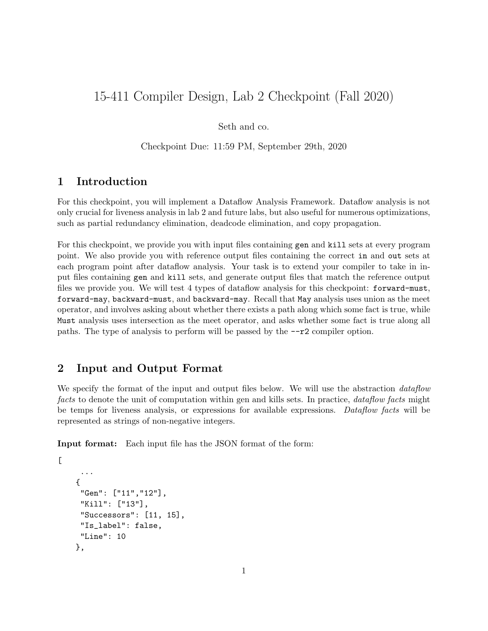# 15-411 Compiler Design, Lab 2 Checkpoint (Fall 2020)

Seth and co.

Checkpoint Due: 11:59 PM, September 29th, 2020

#### 1 Introduction

For this checkpoint, you will implement a Dataflow Analysis Framework. Dataflow analysis is not only crucial for liveness analysis in lab 2 and future labs, but also useful for numerous optimizations, such as partial redundancy elimination, deadcode elimination, and copy propagation.

For this checkpoint, we provide you with input files containing gen and kill sets at every program point. We also provide you with reference output files containing the correct in and out sets at each program point after dataflow analysis. Your task is to extend your compiler to take in input files containing gen and kill sets, and generate output files that match the reference output files we provide you. We will test 4 types of dataflow analysis for this checkpoint: forward-must, forward-may, backward-must, and backward-may. Recall that May analysis uses union as the meet operator, and involves asking about whether there exists a path along which some fact is true, while Must analysis uses intersection as the meet operator, and asks whether some fact is true along all paths. The type of analysis to perform will be passed by the  $-\tau^2$  compiler option.

#### 2 Input and Output Format

We specify the format of the input and output files below. We will use the abstraction *dataflow* facts to denote the unit of computation within gen and kills sets. In practice, dataflow facts might be temps for liveness analysis, or expressions for available expressions. Dataflow facts will be represented as strings of non-negative integers.

Input format: Each input file has the JSON format of the form:

```
...
{
 "Gen": ["11","12"],
 "Kill": ["13"],
 "Successors": [11, 15],
 "Is_label": false,
 "Line": 10
},
```
 $\Gamma$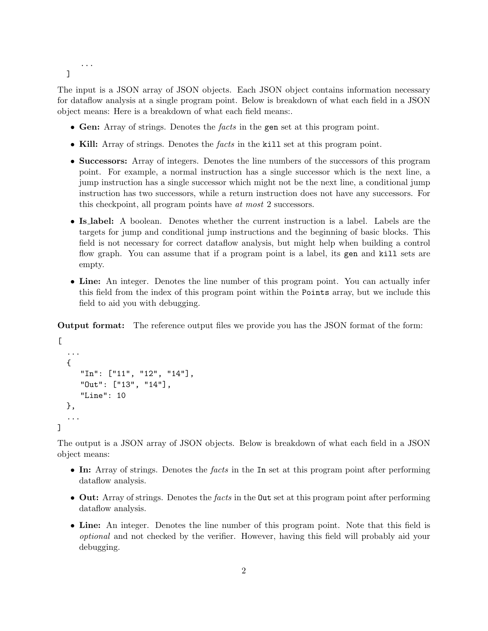```
...
]
```
The input is a JSON array of JSON objects. Each JSON object contains information necessary for dataflow analysis at a single program point. Below is breakdown of what each field in a JSON object means: Here is a breakdown of what each field means:.

- Gen: Array of strings. Denotes the facts in the gen set at this program point.
- Kill: Array of strings. Denotes the facts in the kill set at this program point.
- Successors: Array of integers. Denotes the line numbers of the successors of this program point. For example, a normal instruction has a single successor which is the next line, a jump instruction has a single successor which might not be the next line, a conditional jump instruction has two successors, while a return instruction does not have any successors. For this checkpoint, all program points have at most 2 successors.
- Is label: A boolean. Denotes whether the current instruction is a label. Labels are the targets for jump and conditional jump instructions and the beginning of basic blocks. This field is not necessary for correct dataflow analysis, but might help when building a control flow graph. You can assume that if a program point is a label, its gen and kill sets are empty.
- Line: An integer. Denotes the line number of this program point. You can actually infer this field from the index of this program point within the Points array, but we include this field to aid you with debugging.

Output format: The reference output files we provide you has the JSON format of the form:

```
\Gamma...
  {
     "In": ["11", "12", "14"],
     "Out": ["13", "14"],
     "Line": 10
  },
  ...
]
```
The output is a JSON array of JSON objects. Below is breakdown of what each field in a JSON object means:

- In: Array of strings. Denotes the *facts* in the In set at this program point after performing dataflow analysis.
- Out: Array of strings. Denotes the facts in the 0ut set at this program point after performing dataflow analysis.
- Line: An integer. Denotes the line number of this program point. Note that this field is optional and not checked by the verifier. However, having this field will probably aid your debugging.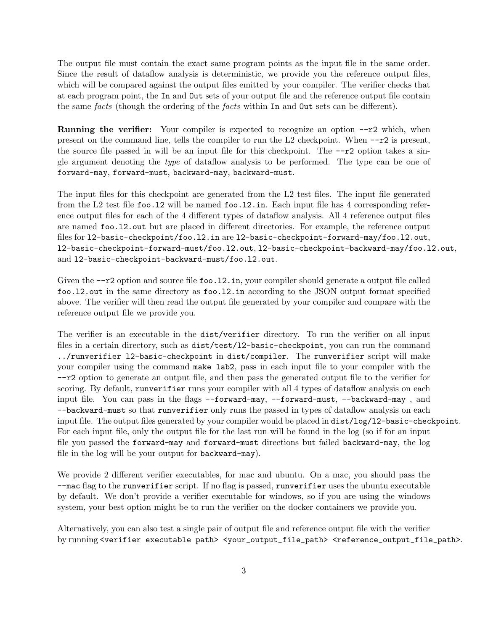The output file must contain the exact same program points as the input file in the same order. Since the result of dataflow analysis is deterministic, we provide you the reference output files, which will be compared against the output files emitted by your compiler. The verifier checks that at each program point, the In and Out sets of your output file and the reference output file contain the same facts (though the ordering of the facts within In and Out sets can be different).

**Running the verifier:** Your compiler is expected to recognize an option  $-\tau$  which, when present on the command line, tells the compiler to run the  $L2$  checkpoint. When  $-\tau^2$  is present, the source file passed in will be an input file for this checkpoint. The  $-\tau^2$  option takes a single argument denoting the type of dataflow analysis to be performed. The type can be one of forward-may, forward-must, backward-may, backward-must.

The input files for this checkpoint are generated from the L2 test files. The input file generated from the L2 test file foo.12 will be named foo.12.in. Each input file has 4 corresponding reference output files for each of the 4 different types of dataflow analysis. All 4 reference output files are named foo.l2.out but are placed in different directories. For example, the reference output files for l2-basic-checkpoint/foo.l2.in are l2-basic-checkpoint-forward-may/foo.l2.out, l2-basic-checkpoint-forward-must/foo.l2.out, l2-basic-checkpoint-backward-may/foo.l2.out, and l2-basic-checkpoint-backward-must/foo.l2.out.

Given the  $-\tau$ 2 option and source file foo.12.in, your compiler should generate a output file called foo.l2.out in the same directory as foo.l2.in according to the JSON output format specified above. The verifier will then read the output file generated by your compiler and compare with the reference output file we provide you.

The verifier is an executable in the dist/verifier directory. To run the verifier on all input files in a certain directory, such as  $dist/test/12$ -basic-checkpoint, you can run the command ../runverifier l2-basic-checkpoint in dist/compiler. The runverifier script will make your compiler using the command make lab2, pass in each input file to your compiler with the --r2 option to generate an output file, and then pass the generated output file to the verifier for scoring. By default, runverifier runs your compiler with all 4 types of dataflow analysis on each input file. You can pass in the flags --forward-may, --forward-must, --backward-may, and --backward-must so that runverifier only runs the passed in types of dataflow analysis on each input file. The output files generated by your compiler would be placed in dist/log/l2-basic-checkpoint. For each input file, only the output file for the last run will be found in the log (so if for an input file you passed the forward-may and forward-must directions but failed backward-may, the log file in the log will be your output for backward-may).

We provide 2 different verifier executables, for mac and ubuntu. On a mac, you should pass the --mac flag to the runverifier script. If no flag is passed, runverifier uses the ubuntu executable by default. We don't provide a verifier executable for windows, so if you are using the windows system, your best option might be to run the verifier on the docker containers we provide you.

Alternatively, you can also test a single pair of output file and reference output file with the verifier by running <verifier executable path> <your\_output\_file\_path> <reference\_output\_file\_path>.